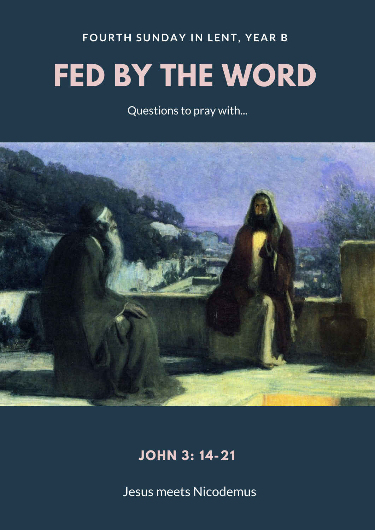### **FOURTH SUNDAY IN LENT, YEAR B**

# **FED BY THE WORD**

Questions to pray with...



## **JOHN 3: 14-21**

Jesus meets Nicodemus